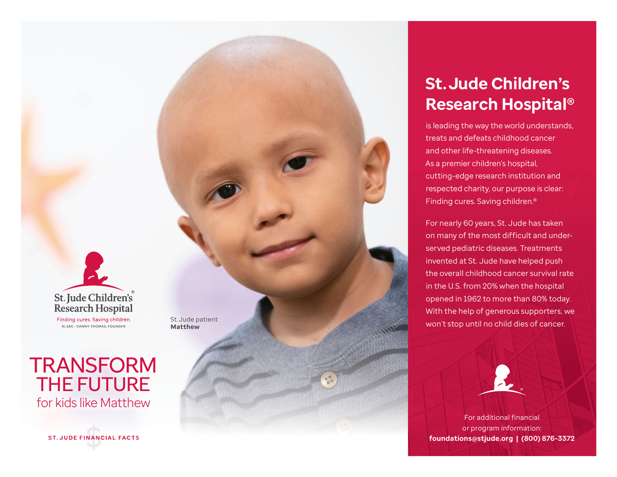

ALSAC . DANNY THOMAS, FOUNDER

## **TRANSFORM** THE FUTURE for kids like Matthew

**ST. JUDE FINANCIAL FACTS** 

St. Jude patient **Matthew**

**St. Jude Children's Research Hospital®**

is leading the way the world understands, treats and defeats childhood cancer and other life-threatening diseases. As a premier children's hospital, cutting-edge research institution and respected charity, our purpose is clear: Finding cures. Saving children.®

For nearly 60 years, St. Jude has taken on many of the most difficult and underserved pediatric diseases. Treatments invented at St. Jude have helped push the overall childhood cancer survival rate in the U.S. from 20% when the hospital opened in 1962 to more than 80% today. With the help of generous supporters, we won't stop until no child dies of cancer.



For additional financial or program information: **foundations@stjude.org | (800) 876-3372**